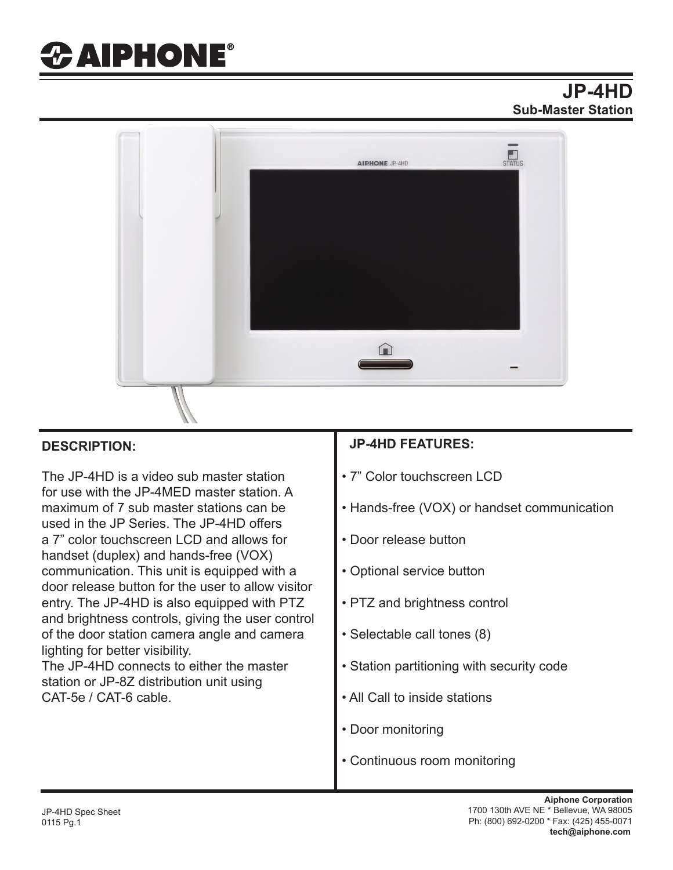# *&* **AIPHONE®**

### **JP-4HD Sub-Master Station**



The JP-4HD is a video sub master station for use with the JP-4MED master station. A maximum of 7 sub master stations can be used in the JP Series. The JP-4HD offers a 7" color touchscreen LCD and allows for handset (duplex) and hands-free (VOX) communication. This unit is equipped with a door release button for the user to allow visitor entry. The JP-4HD is also equipped with PTZ and brightness controls, giving the user control of the door station camera angle and camera lighting for better visibility.

The JP-4HD connects to either the master station or JP-8Z distribution unit using CAT-5e / CAT-6 cable.

#### **DESCRIPTION: JP-4HD FEATURES:**

- 7" Color touchscreen LCD
- Hands-free (VOX) or handset communication
- Door release button
- Optional service button
- PTZ and brightness control
- Selectable call tones (8)
- Station partitioning with security code
- All Call to inside stations
- Door monitoring
- Continuous room monitoring